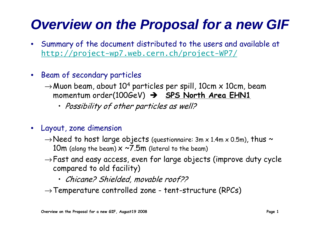## *Overview on the Proposal for a new GIF*

- Summary of the document distributed to the users and available at http://project-wp7.web.cern.ch/project-WP7/
- Beam of secondary particles
	- $\rightarrow$ Muon beam, about 10<sup>4</sup> particles per spill, 10cm x 10cm, beam momentum order(100GeV) Î **SPS North Area EHN1**
		- Possibility of other particles as well?
- Layout, zone dimension
	- $\rightarrow$  Need to host large objects (questionnaire: 3m x 1.4m x 0.5m), thus  $\sim$ 10m (along the beam)  $\times \sim 7.5$ m (lateral to the beam)
	- $\rightarrow$  Fast and easy access, even for large objects (improve duty cycle compared to old facility)
		- Chicane? Shielded, movable roof??
	- $\rightarrow$  Temperature controlled zone e controlled zone - tent-structure (RPCs)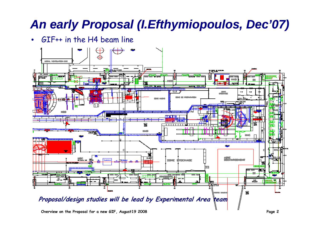## *An early Proposal (I.Efthymiopoulos, Dec'07)*

•GIF++ in the H4 beam line

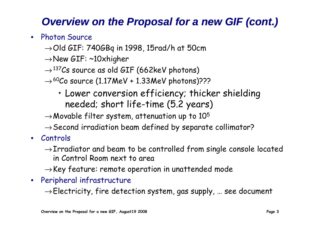## *Overview on the Proposal for a new GIF (cont.)*

- Photon Source
	- $\rightarrow$ Old GIF: 740GBq in 1998, 15rad/h at 50cm
	- →New GIF: ~10xhigher
	- $\rightarrow$ <sup>137</sup>Cs source as old GIF (662keV photons)
	- $\rightarrow$  <sup>60</sup>Co source (1.17MeV + 1.33MeV photons)???
		- Lower conversion efficiency; thicker shielding needed; short life-time (5.2 years)
	- $\rightarrow$ Movable filter system, attenuation up to  $10^5$
	- $\rightarrow$  Second irradiation beam defined by separate collimator?
- Controls
	- $\rightarrow$  Irradiator and beam to be controlled from single console located in Control Room next to area
	- $\rightarrow$  Key feature: remote operation in unattended mode
- Peripheral infrastructure

 $\rightarrow$ Electricity, fire detection system, gas supply, ... see document